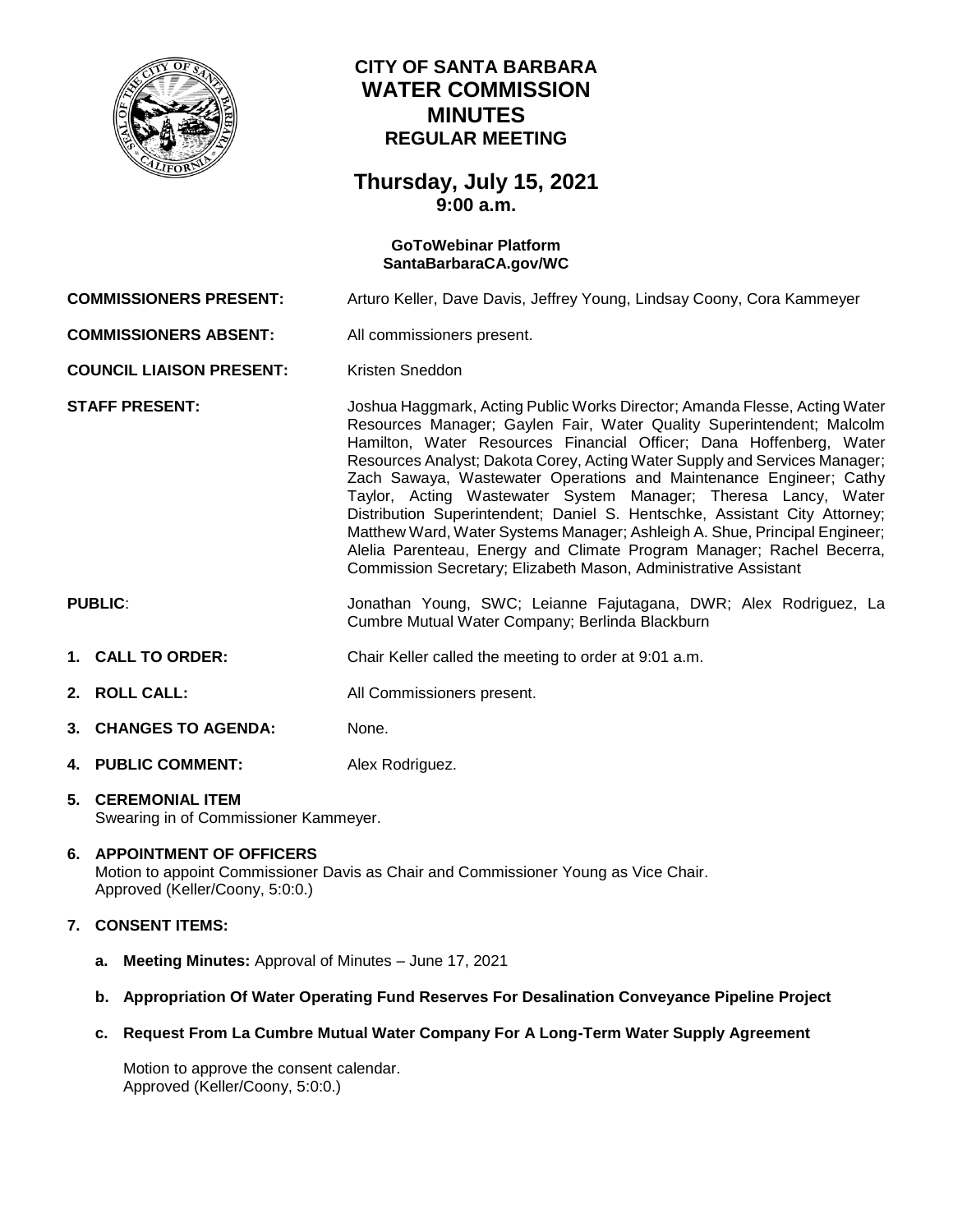

## **CITY OF SANTA BARBARA WATER COMMISSION MINUTES REGULAR MEETING**

## **Thursday, July 15, 2021 9:00 a.m.**

# **GoToWebinar Platform [SantaBarbaraCA.gov/WC](https://www.santabarbaraca.gov/gov/brdcomm/nz/water/agendas.asp) COMMISSIONERS PRESENT:** Arturo Keller, Dave Davis, Jeffrey Young, Lindsay Coony, Cora Kammeyer **COMMISSIONERS ABSENT:** All commissioners present. **COUNCIL LIAISON PRESENT:** Kristen Sneddon **STAFF PRESENT:** Joshua Haggmark, Acting Public Works Director; Amanda Flesse, Acting Water Resources Manager; Gaylen Fair, Water Quality Superintendent; Malcolm Hamilton, Water Resources Financial Officer; Dana Hoffenberg, Water Resources Analyst; Dakota Corey, Acting Water Supply and Services Manager; Zach Sawaya, Wastewater Operations and Maintenance Engineer; Cathy Taylor, Acting Wastewater System Manager; Theresa Lancy, Water Distribution Superintendent; Daniel S. Hentschke, Assistant City Attorney; Matthew Ward, Water Systems Manager; Ashleigh A. Shue, Principal Engineer; Alelia Parenteau, Energy and Climate Program Manager; Rachel Becerra, Commission Secretary; Elizabeth Mason, Administrative Assistant **PUBLIC**: Jonathan Young, SWC; Leianne Fajutagana, DWR; Alex Rodriguez, La Cumbre Mutual Water Company; Berlinda Blackburn **1. CALL TO ORDER:** Chair Keller called the meeting to order at 9:01 a.m. 2. **ROLL CALL:** All Commissioners present. **3. CHANGES TO AGENDA:** None.

**4. PUBLIC COMMENT:** Alex Rodriguez.

#### **5. CEREMONIAL ITEM** Swearing in of Commissioner Kammeyer.

### **6. APPOINTMENT OF OFFICERS**

Motion to appoint Commissioner Davis as Chair and Commissioner Young as Vice Chair. Approved (Keller/Coony, 5:0:0.)

## **7. CONSENT ITEMS:**

- **a. Meeting Minutes:** Approval of Minutes June 17, 2021
- **b. Appropriation Of Water Operating Fund Reserves For Desalination Conveyance Pipeline Project**
- **c. Request From La Cumbre Mutual Water Company For A Long-Term Water Supply Agreement**

Motion to approve the consent calendar. Approved (Keller/Coony, 5:0:0.)